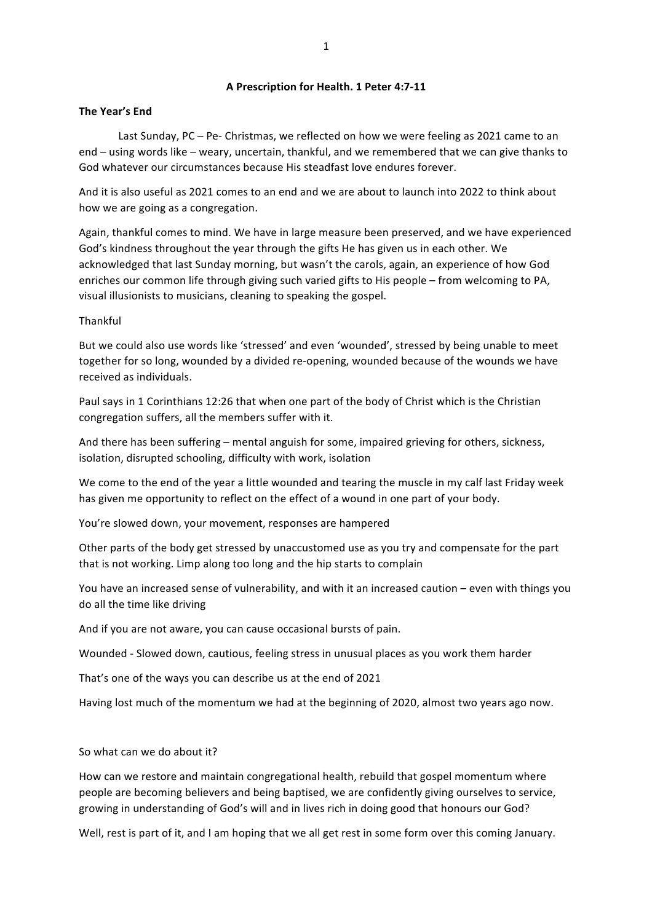## **A Prescription for Health. 1 Peter 4:7-11**

### **The Year's End**

Last Sunday, PC – Pe- Christmas, we reflected on how we were feeling as 2021 came to an end – using words like – weary, uncertain, thankful, and we remembered that we can give thanks to God whatever our circumstances because His steadfast love endures forever.

And it is also useful as 2021 comes to an end and we are about to launch into 2022 to think about how we are going as a congregation.

Again, thankful comes to mind. We have in large measure been preserved, and we have experienced God's kindness throughout the year through the gifts He has given us in each other. We acknowledged that last Sunday morning, but wasn't the carols, again, an experience of how God enriches our common life through giving such varied gifts to His people – from welcoming to PA, visual illusionists to musicians, cleaning to speaking the gospel.

### Thankful

But we could also use words like 'stressed' and even 'wounded', stressed by being unable to meet together for so long, wounded by a divided re-opening, wounded because of the wounds we have received as individuals.

Paul says in 1 Corinthians 12:26 that when one part of the body of Christ which is the Christian congregation suffers, all the members suffer with it.

And there has been suffering – mental anguish for some, impaired grieving for others, sickness, isolation, disrupted schooling, difficulty with work, isolation

We come to the end of the year a little wounded and tearing the muscle in my calf last Friday week has given me opportunity to reflect on the effect of a wound in one part of your body.

You're slowed down, your movement, responses are hampered

Other parts of the body get stressed by unaccustomed use as you try and compensate for the part that is not working. Limp along too long and the hip starts to complain

You have an increased sense of vulnerability, and with it an increased caution – even with things you do all the time like driving

And if you are not aware, you can cause occasional bursts of pain.

Wounded - Slowed down, cautious, feeling stress in unusual places as you work them harder

That's one of the ways you can describe us at the end of 2021

Having lost much of the momentum we had at the beginning of 2020, almost two years ago now.

So what can we do about it?

How can we restore and maintain congregational health, rebuild that gospel momentum where people are becoming believers and being baptised, we are confidently giving ourselves to service, growing in understanding of God's will and in lives rich in doing good that honours our God?

Well, rest is part of it, and I am hoping that we all get rest in some form over this coming January.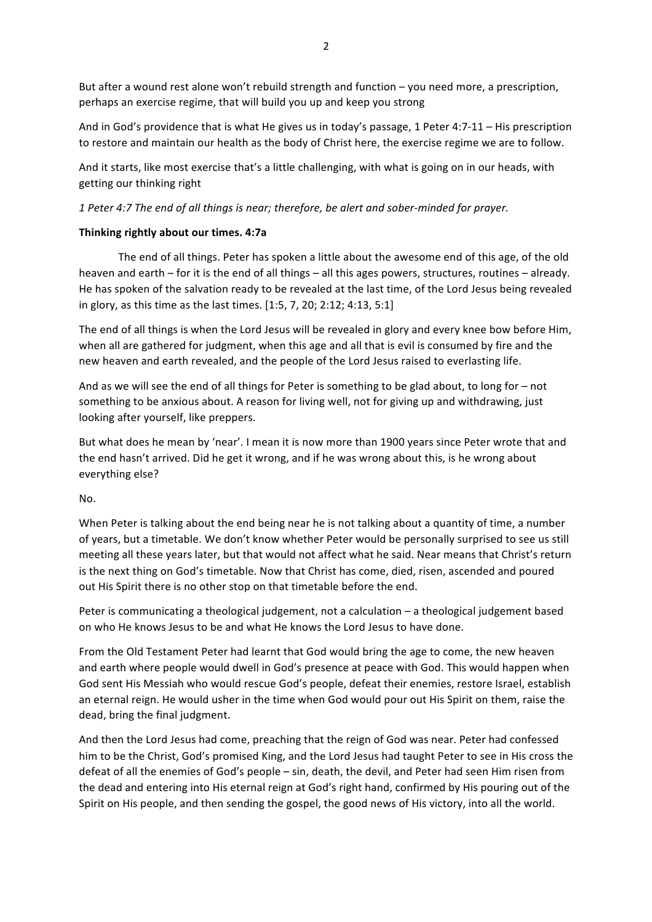But after a wound rest alone won't rebuild strength and function – you need more, a prescription, perhaps an exercise regime, that will build you up and keep you strong

And in God's providence that is what He gives us in today's passage, 1 Peter 4:7-11 – His prescription to restore and maintain our health as the body of Christ here, the exercise regime we are to follow.

And it starts, like most exercise that's a little challenging, with what is going on in our heads, with getting our thinking right

1 Peter 4:7 The end of all things is near; therefore, be alert and sober-minded for prayer.

# **Thinking rightly about our times. 4:7a**

The end of all things. Peter has spoken a little about the awesome end of this age, of the old heaven and earth – for it is the end of all things – all this ages powers, structures, routines – already. He has spoken of the salvation ready to be revealed at the last time, of the Lord Jesus being revealed in glory, as this time as the last times. [1:5, 7, 20; 2:12; 4:13, 5:1]

The end of all things is when the Lord Jesus will be revealed in glory and every knee bow before Him, when all are gathered for judgment, when this age and all that is evil is consumed by fire and the new heaven and earth revealed, and the people of the Lord Jesus raised to everlasting life.

And as we will see the end of all things for Peter is something to be glad about, to long for – not something to be anxious about. A reason for living well, not for giving up and withdrawing, just looking after yourself, like preppers.

But what does he mean by 'near'. I mean it is now more than 1900 years since Peter wrote that and the end hasn't arrived. Did he get it wrong, and if he was wrong about this, is he wrong about everything else?

No.

When Peter is talking about the end being near he is not talking about a quantity of time, a number of years, but a timetable. We don't know whether Peter would be personally surprised to see us still meeting all these years later, but that would not affect what he said. Near means that Christ's return is the next thing on God's timetable. Now that Christ has come, died, risen, ascended and poured out His Spirit there is no other stop on that timetable before the end.

Peter is communicating a theological judgement, not a calculation  $-$  a theological judgement based on who He knows Jesus to be and what He knows the Lord Jesus to have done.

From the Old Testament Peter had learnt that God would bring the age to come, the new heaven and earth where people would dwell in God's presence at peace with God. This would happen when God sent His Messiah who would rescue God's people, defeat their enemies, restore Israel, establish an eternal reign. He would usher in the time when God would pour out His Spirit on them, raise the dead, bring the final judgment.

And then the Lord Jesus had come, preaching that the reign of God was near. Peter had confessed him to be the Christ, God's promised King, and the Lord Jesus had taught Peter to see in His cross the defeat of all the enemies of God's people - sin, death, the devil, and Peter had seen Him risen from the dead and entering into His eternal reign at God's right hand, confirmed by His pouring out of the Spirit on His people, and then sending the gospel, the good news of His victory, into all the world.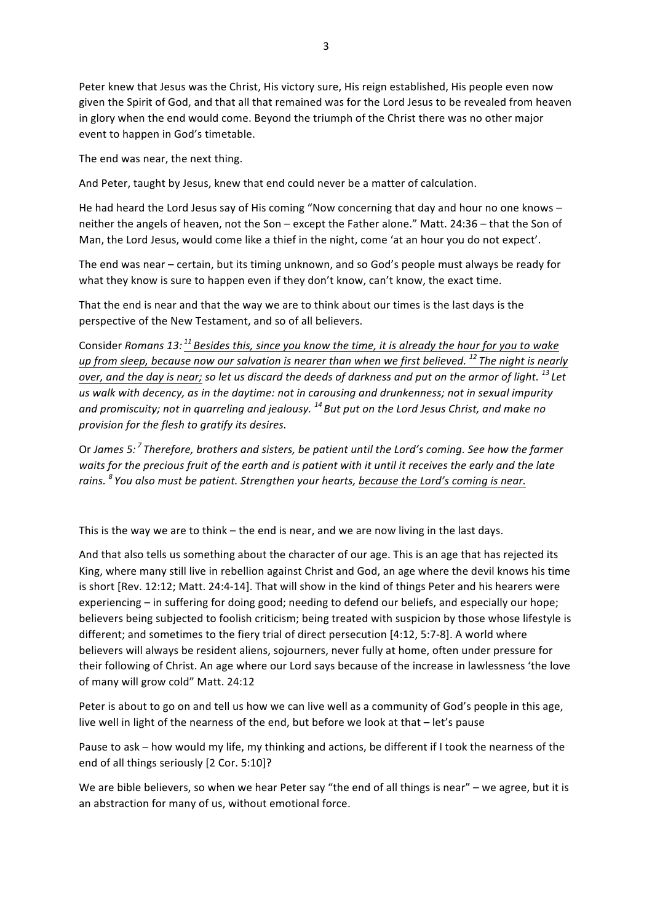Peter knew that Jesus was the Christ, His victory sure, His reign established, His people even now given the Spirit of God, and that all that remained was for the Lord Jesus to be revealed from heaven in glory when the end would come. Beyond the triumph of the Christ there was no other major event to happen in God's timetable.

The end was near, the next thing.

And Peter, taught by Jesus, knew that end could never be a matter of calculation.

He had heard the Lord Jesus say of His coming "Now concerning that day and hour no one knows  $$ neither the angels of heaven, not the Son – except the Father alone." Matt. 24:36 – that the Son of Man, the Lord Jesus, would come like a thief in the night, come 'at an hour you do not expect'.

The end was near – certain, but its timing unknown, and so God's people must always be ready for what they know is sure to happen even if they don't know, can't know, the exact time.

That the end is near and that the way we are to think about our times is the last days is the perspective of the New Testament, and so of all believers.

Consider *Romans* 13: <sup>11</sup> Besides this, since you know the time, it is already the hour for you to wake *up* from sleep, because now our salvation is nearer than when we first believed.<sup>12</sup> The night is nearly *over, and the day is near; so let us discard the deeds of darkness and put on the armor of light.* <sup>13</sup> Let us walk with decency, as in the daytime: not in carousing and drunkenness; not in sexual impurity and promiscuity; not in quarreling and jealousy.<sup>14</sup> But put on the Lord Jesus Christ, and make no *provision for the flesh to gratify its desires.*

Or James 5:<sup>7</sup> Therefore, brothers and sisters, be patient until the Lord's coming. See how the farmer waits for the precious fruit of the earth and is patient with it until it receives the early and the late rains. <sup>8</sup> You also must be patient. Strengthen your hearts, because the Lord's coming is near.

This is the way we are to think  $-$  the end is near, and we are now living in the last days.

And that also tells us something about the character of our age. This is an age that has rejected its King, where many still live in rebellion against Christ and God, an age where the devil knows his time is short [Rev. 12:12; Matt. 24:4-14]. That will show in the kind of things Peter and his hearers were experiencing – in suffering for doing good; needing to defend our beliefs, and especially our hope; believers being subjected to foolish criticism; being treated with suspicion by those whose lifestyle is different; and sometimes to the fiery trial of direct persecution [4:12, 5:7-8]. A world where believers will always be resident aliens, sojourners, never fully at home, often under pressure for their following of Christ. An age where our Lord says because of the increase in lawlessness 'the love of many will grow cold" Matt. 24:12

Peter is about to go on and tell us how we can live well as a community of God's people in this age, live well in light of the nearness of the end, but before we look at that – let's pause

Pause to ask – how would my life, my thinking and actions, be different if I took the nearness of the end of all things seriously [2 Cor. 5:10]?

We are bible believers, so when we hear Peter say "the end of all things is near" – we agree, but it is an abstraction for many of us, without emotional force.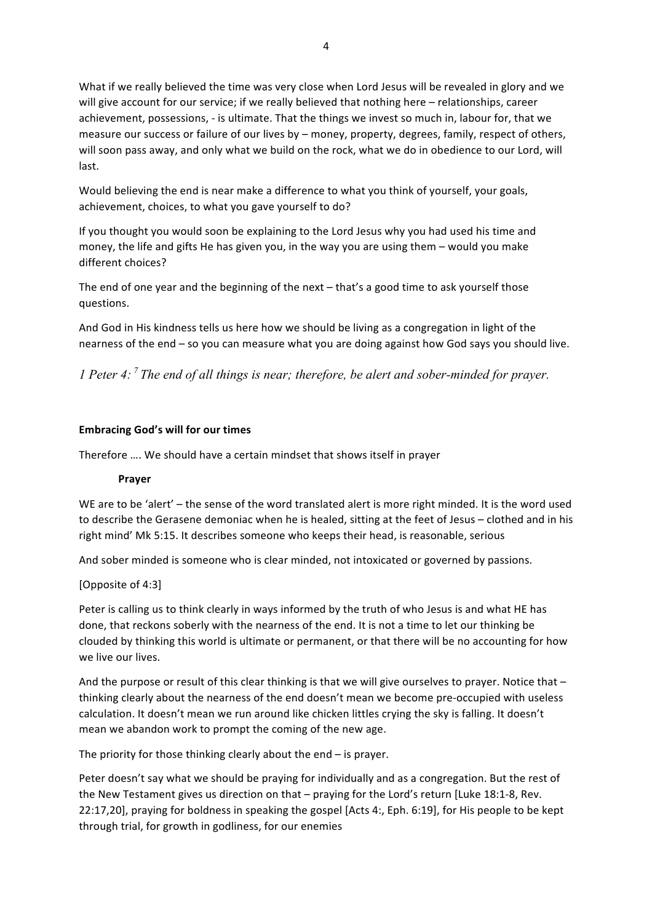What if we really believed the time was very close when Lord Jesus will be revealed in glory and we will give account for our service; if we really believed that nothing here - relationships, career achievement, possessions, - is ultimate. That the things we invest so much in, labour for, that we measure our success or failure of our lives by – money, property, degrees, family, respect of others, will soon pass away, and only what we build on the rock, what we do in obedience to our Lord, will last.

Would believing the end is near make a difference to what you think of yourself, your goals, achievement, choices, to what you gave yourself to do?

If you thought you would soon be explaining to the Lord Jesus why you had used his time and money, the life and gifts He has given you, in the way you are using them  $-$  would you make different choices?

The end of one year and the beginning of the next  $-$  that's a good time to ask yourself those questions.

And God in His kindness tells us here how we should be living as a congregation in light of the nearness of the end – so you can measure what you are doing against how God says you should live.

*1 Peter 4: <sup>7</sup> The end of all things is near; therefore, be alert and sober-minded for prayer.* 

## **Embracing God's will for our times**

Therefore .... We should have a certain mindset that shows itself in prayer

#### **Prayer**

WE are to be 'alert'  $-$  the sense of the word translated alert is more right minded. It is the word used to describe the Gerasene demoniac when he is healed, sitting at the feet of Jesus – clothed and in his right mind' Mk 5:15. It describes someone who keeps their head, is reasonable, serious

And sober minded is someone who is clear minded, not intoxicated or governed by passions.

#### [Opposite of 4:3]

Peter is calling us to think clearly in ways informed by the truth of who Jesus is and what HE has done, that reckons soberly with the nearness of the end. It is not a time to let our thinking be clouded by thinking this world is ultimate or permanent, or that there will be no accounting for how we live our lives.

And the purpose or result of this clear thinking is that we will give ourselves to prayer. Notice that  $$ thinking clearly about the nearness of the end doesn't mean we become pre-occupied with useless calculation. It doesn't mean we run around like chicken littles crying the sky is falling. It doesn't mean we abandon work to prompt the coming of the new age.

The priority for those thinking clearly about the end  $-$  is prayer.

Peter doesn't say what we should be praying for individually and as a congregation. But the rest of the New Testament gives us direction on that - praying for the Lord's return [Luke 18:1-8, Rev. 22:17,20], praying for boldness in speaking the gospel [Acts 4:, Eph. 6:19], for His people to be kept through trial, for growth in godliness, for our enemies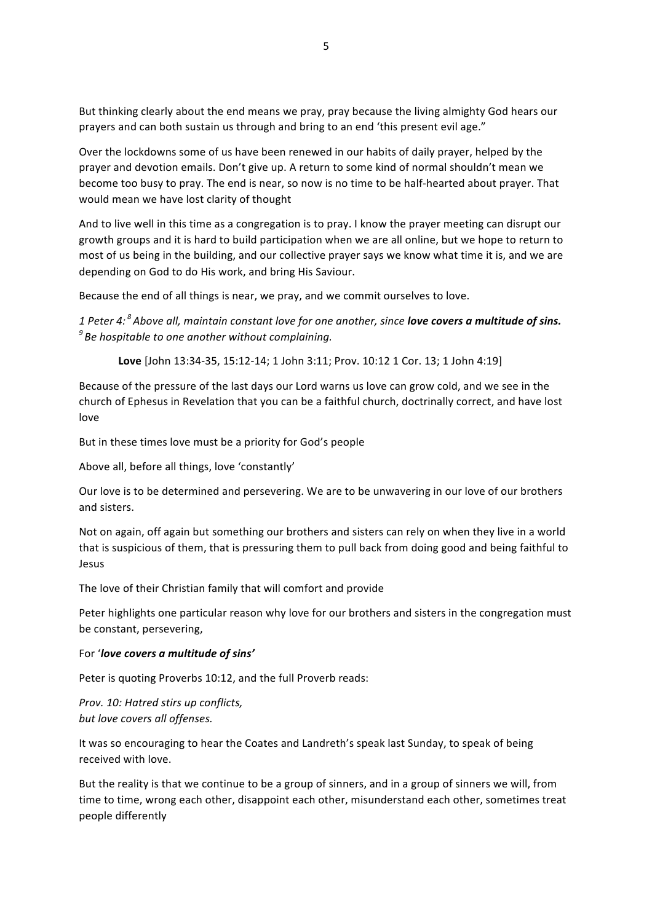But thinking clearly about the end means we pray, pray because the living almighty God hears our prayers and can both sustain us through and bring to an end 'this present evil age."

Over the lockdowns some of us have been renewed in our habits of daily prayer, helped by the prayer and devotion emails. Don't give up. A return to some kind of normal shouldn't mean we become too busy to pray. The end is near, so now is no time to be half-hearted about prayer. That would mean we have lost clarity of thought

And to live well in this time as a congregation is to pray. I know the prayer meeting can disrupt our growth groups and it is hard to build participation when we are all online, but we hope to return to most of us being in the building, and our collective prayer says we know what time it is, and we are depending on God to do His work, and bring His Saviour.

Because the end of all things is near, we pray, and we commit ourselves to love.

*1* Peter 4: <sup>8</sup> Above all, maintain constant love for one another, since **love covers a multitude of sins.** <sup>9</sup> Be hospitable to one another without complaining.

Love [John 13:34-35, 15:12-14; 1 John 3:11; Prov. 10:12 1 Cor. 13; 1 John 4:19]

Because of the pressure of the last days our Lord warns us love can grow cold, and we see in the church of Ephesus in Revelation that you can be a faithful church, doctrinally correct, and have lost love

But in these times love must be a priority for God's people

Above all, before all things, love 'constantly'

Our love is to be determined and persevering. We are to be unwavering in our love of our brothers and sisters.

Not on again, off again but something our brothers and sisters can rely on when they live in a world that is suspicious of them, that is pressuring them to pull back from doing good and being faithful to Jesus

The love of their Christian family that will comfort and provide

Peter highlights one particular reason why love for our brothers and sisters in the congregation must be constant, persevering,

#### For 'love covers a multitude of sins'

Peter is quoting Proverbs 10:12, and the full Proverb reads:

*Prov. 10: Hatred stirs up conflicts,* but love covers all offenses.

It was so encouraging to hear the Coates and Landreth's speak last Sunday, to speak of being received with love.

But the reality is that we continue to be a group of sinners, and in a group of sinners we will, from time to time, wrong each other, disappoint each other, misunderstand each other, sometimes treat people differently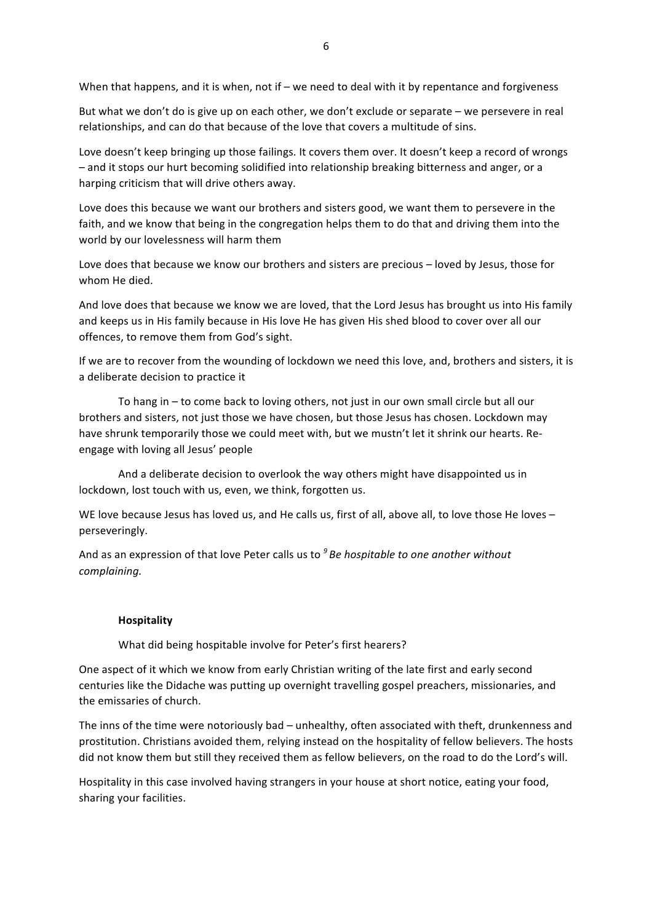When that happens, and it is when, not if – we need to deal with it by repentance and forgiveness

But what we don't do is give up on each other, we don't exclude or separate  $-$  we persevere in real relationships, and can do that because of the love that covers a multitude of sins.

Love doesn't keep bringing up those failings. It covers them over. It doesn't keep a record of wrongs - and it stops our hurt becoming solidified into relationship breaking bitterness and anger, or a harping criticism that will drive others away.

Love does this because we want our brothers and sisters good, we want them to persevere in the faith, and we know that being in the congregation helps them to do that and driving them into the world by our lovelessness will harm them

Love does that because we know our brothers and sisters are precious - loved by Jesus, those for whom He died.

And love does that because we know we are loved, that the Lord Jesus has brought us into His family and keeps us in His family because in His love He has given His shed blood to cover over all our offences, to remove them from God's sight.

If we are to recover from the wounding of lockdown we need this love, and, brothers and sisters, it is a deliberate decision to practice it

To hang in – to come back to loving others, not just in our own small circle but all our brothers and sisters, not just those we have chosen, but those Jesus has chosen. Lockdown may have shrunk temporarily those we could meet with, but we mustn't let it shrink our hearts. Reengage with loving all Jesus' people

And a deliberate decision to overlook the way others might have disappointed us in lockdown, lost touch with us, even, we think, forgotten us.

WE love because Jesus has loved us, and He calls us, first of all, above all, to love those He loves perseveringly.

And as an expression of that love Peter calls us to  $<sup>9</sup>$  *Be hospitable to one another without*</sup> *complaining.* 

## **Hospitality**

What did being hospitable involve for Peter's first hearers?

One aspect of it which we know from early Christian writing of the late first and early second centuries like the Didache was putting up overnight travelling gospel preachers, missionaries, and the emissaries of church.

The inns of the time were notoriously bad – unhealthy, often associated with theft, drunkenness and prostitution. Christians avoided them, relying instead on the hospitality of fellow believers. The hosts did not know them but still they received them as fellow believers, on the road to do the Lord's will.

Hospitality in this case involved having strangers in your house at short notice, eating your food, sharing your facilities.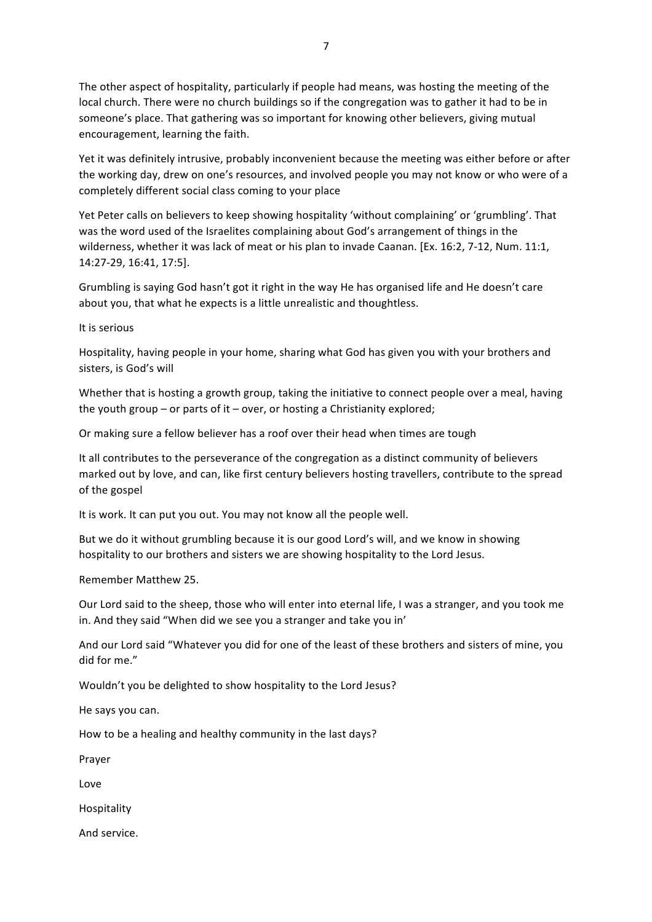The other aspect of hospitality, particularly if people had means, was hosting the meeting of the local church. There were no church buildings so if the congregation was to gather it had to be in someone's place. That gathering was so important for knowing other believers, giving mutual encouragement, learning the faith.

Yet it was definitely intrusive, probably inconvenient because the meeting was either before or after the working day, drew on one's resources, and involved people you may not know or who were of a completely different social class coming to your place

Yet Peter calls on believers to keep showing hospitality 'without complaining' or 'grumbling'. That was the word used of the Israelites complaining about God's arrangement of things in the wilderness, whether it was lack of meat or his plan to invade Caanan. [Ex. 16:2, 7-12, Num. 11:1, 14:27-29, 16:41, 17:5].

Grumbling is saying God hasn't got it right in the way He has organised life and He doesn't care about you, that what he expects is a little unrealistic and thoughtless.

It is serious

Hospitality, having people in your home, sharing what God has given you with your brothers and sisters, is God's will

Whether that is hosting a growth group, taking the initiative to connect people over a meal, having the youth group – or parts of it – over, or hosting a Christianity explored;

Or making sure a fellow believer has a roof over their head when times are tough

It all contributes to the perseverance of the congregation as a distinct community of believers marked out by love, and can, like first century believers hosting travellers, contribute to the spread of the gospel

It is work. It can put you out. You may not know all the people well.

But we do it without grumbling because it is our good Lord's will, and we know in showing hospitality to our brothers and sisters we are showing hospitality to the Lord Jesus.

Remember Matthew 25.

Our Lord said to the sheep, those who will enter into eternal life, I was a stranger, and you took me in. And they said "When did we see you a stranger and take you in'

And our Lord said "Whatever you did for one of the least of these brothers and sisters of mine, you did for me."

Wouldn't you be delighted to show hospitality to the Lord Jesus?

He says you can.

How to be a healing and healthy community in the last days?

Prayer

Love

Hospitality

And service.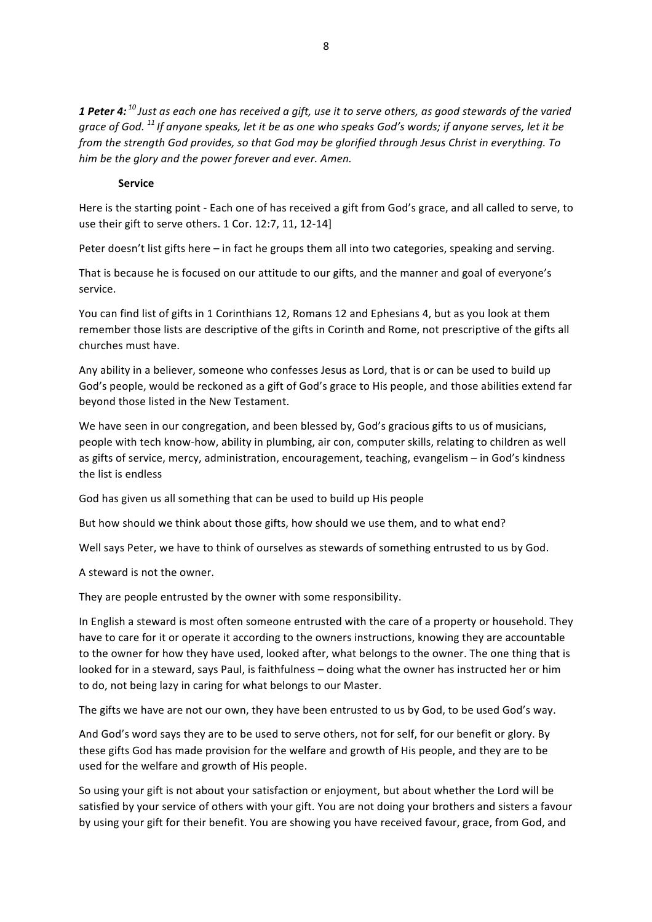1 Peter 4:<sup>10</sup> Just as each one has received a gift, use it to serve others, as good stewards of the varied arace of God. <sup>11</sup> If anyone speaks, let it be as one who speaks God's words; if anyone serves, let it be *from* the strength God provides, so that God may be glorified through Jesus Christ in everything. To *him* be the glory and the power forever and ever. Amen.

#### **Service**

Here is the starting point - Each one of has received a gift from God's grace, and all called to serve, to use their gift to serve others. 1 Cor. 12:7, 11, 12-14]

Peter doesn't list gifts here  $-$  in fact he groups them all into two categories, speaking and serving.

That is because he is focused on our attitude to our gifts, and the manner and goal of everyone's service.

You can find list of gifts in 1 Corinthians 12, Romans 12 and Ephesians 4, but as you look at them remember those lists are descriptive of the gifts in Corinth and Rome, not prescriptive of the gifts all churches must have.

Any ability in a believer, someone who confesses Jesus as Lord, that is or can be used to build up God's people, would be reckoned as a gift of God's grace to His people, and those abilities extend far beyond those listed in the New Testament.

We have seen in our congregation, and been blessed by, God's gracious gifts to us of musicians, people with tech know-how, ability in plumbing, air con, computer skills, relating to children as well as gifts of service, mercy, administration, encouragement, teaching, evangelism - in God's kindness the list is endless

God has given us all something that can be used to build up His people

But how should we think about those gifts, how should we use them, and to what end?

Well says Peter, we have to think of ourselves as stewards of something entrusted to us by God.

A steward is not the owner.

They are people entrusted by the owner with some responsibility.

In English a steward is most often someone entrusted with the care of a property or household. They have to care for it or operate it according to the owners instructions, knowing they are accountable to the owner for how they have used, looked after, what belongs to the owner. The one thing that is looked for in a steward, says Paul, is faithfulness – doing what the owner has instructed her or him to do, not being lazy in caring for what belongs to our Master.

The gifts we have are not our own, they have been entrusted to us by God, to be used God's way.

And God's word says they are to be used to serve others, not for self, for our benefit or glory. By these gifts God has made provision for the welfare and growth of His people, and they are to be used for the welfare and growth of His people.

So using your gift is not about your satisfaction or enjoyment, but about whether the Lord will be satisfied by your service of others with your gift. You are not doing your brothers and sisters a favour by using your gift for their benefit. You are showing you have received favour, grace, from God, and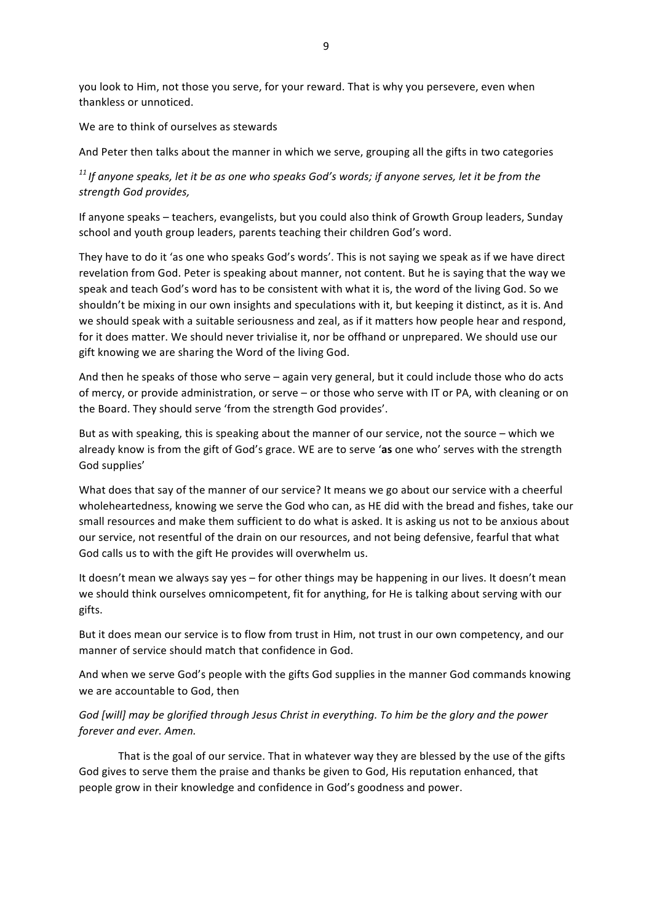you look to Him, not those you serve, for your reward. That is why you persevere, even when thankless or unnoticed.

We are to think of ourselves as stewards

And Peter then talks about the manner in which we serve, grouping all the gifts in two categories

<sup>11</sup> If anyone speaks, let it be as one who speaks God's words; if anyone serves, let it be from the *strength God provides,*

If anyone speaks – teachers, evangelists, but you could also think of Growth Group leaders, Sunday school and youth group leaders, parents teaching their children God's word.

They have to do it 'as one who speaks God's words'. This is not saying we speak as if we have direct revelation from God. Peter is speaking about manner, not content. But he is saying that the way we speak and teach God's word has to be consistent with what it is, the word of the living God. So we shouldn't be mixing in our own insights and speculations with it, but keeping it distinct, as it is. And we should speak with a suitable seriousness and zeal, as if it matters how people hear and respond, for it does matter. We should never trivialise it, nor be offhand or unprepared. We should use our gift knowing we are sharing the Word of the living God.

And then he speaks of those who serve  $-$  again very general, but it could include those who do acts of mercy, or provide administration, or serve – or those who serve with IT or PA, with cleaning or on the Board. They should serve 'from the strength God provides'.

But as with speaking, this is speaking about the manner of our service, not the source – which we already know is from the gift of God's grace. WE are to serve 'as one who' serves with the strength God supplies'

What does that say of the manner of our service? It means we go about our service with a cheerful wholeheartedness, knowing we serve the God who can, as HE did with the bread and fishes, take our small resources and make them sufficient to do what is asked. It is asking us not to be anxious about our service, not resentful of the drain on our resources, and not being defensive, fearful that what God calls us to with the gift He provides will overwhelm us.

It doesn't mean we always say yes - for other things may be happening in our lives. It doesn't mean we should think ourselves omnicompetent, fit for anything, for He is talking about serving with our gifts.

But it does mean our service is to flow from trust in Him, not trust in our own competency, and our manner of service should match that confidence in God.

And when we serve God's people with the gifts God supplies in the manner God commands knowing we are accountable to God, then

# God [will] may be alorified through Jesus Christ in everything. To him be the alory and the power *forever and ever. Amen.*

That is the goal of our service. That in whatever way they are blessed by the use of the gifts God gives to serve them the praise and thanks be given to God, His reputation enhanced, that people grow in their knowledge and confidence in God's goodness and power.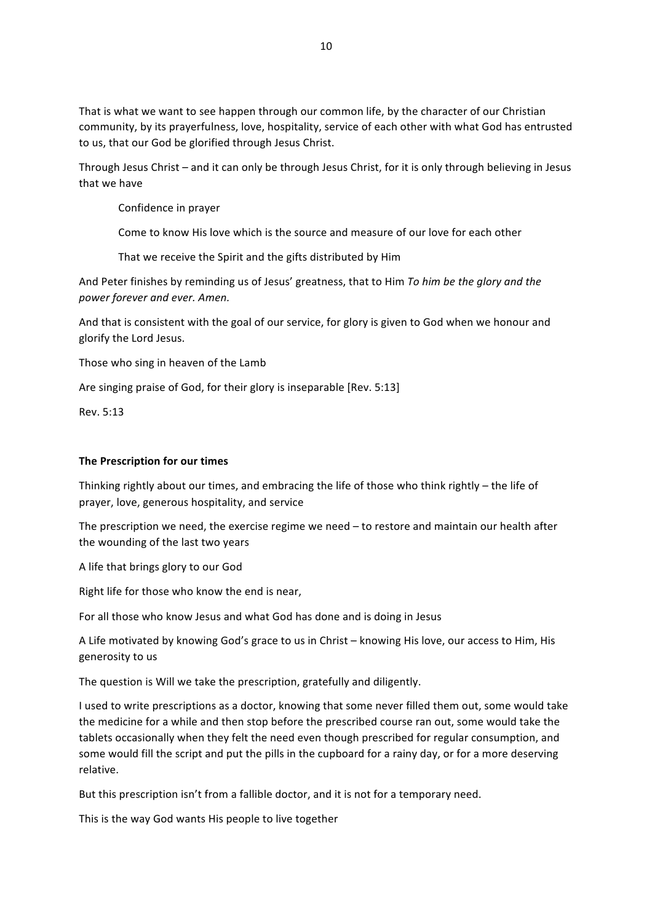That is what we want to see happen through our common life, by the character of our Christian community, by its prayerfulness, love, hospitality, service of each other with what God has entrusted to us, that our God be glorified through Jesus Christ.

Through Jesus Christ – and it can only be through Jesus Christ, for it is only through believing in Jesus that we have

Confidence in prayer

Come to know His love which is the source and measure of our love for each other

That we receive the Spirit and the gifts distributed by Him

And Peter finishes by reminding us of Jesus' greatness, that to Him *To him be the glory and the power forever and ever. Amen.*

And that is consistent with the goal of our service, for glory is given to God when we honour and glorify the Lord Jesus.

Those who sing in heaven of the Lamb

Are singing praise of God, for their glory is inseparable [Rev. 5:13]

Rev. 5:13

#### **The Prescription for our times**

Thinking rightly about our times, and embracing the life of those who think rightly - the life of prayer, love, generous hospitality, and service

The prescription we need, the exercise regime we need  $-$  to restore and maintain our health after the wounding of the last two years

A life that brings glory to our God

Right life for those who know the end is near,

For all those who know Jesus and what God has done and is doing in Jesus

A Life motivated by knowing God's grace to us in Christ - knowing His love, our access to Him, His generosity to us

The question is Will we take the prescription, gratefully and diligently.

I used to write prescriptions as a doctor, knowing that some never filled them out, some would take the medicine for a while and then stop before the prescribed course ran out, some would take the tablets occasionally when they felt the need even though prescribed for regular consumption, and some would fill the script and put the pills in the cupboard for a rainy day, or for a more deserving relative.

But this prescription isn't from a fallible doctor, and it is not for a temporary need.

This is the way God wants His people to live together